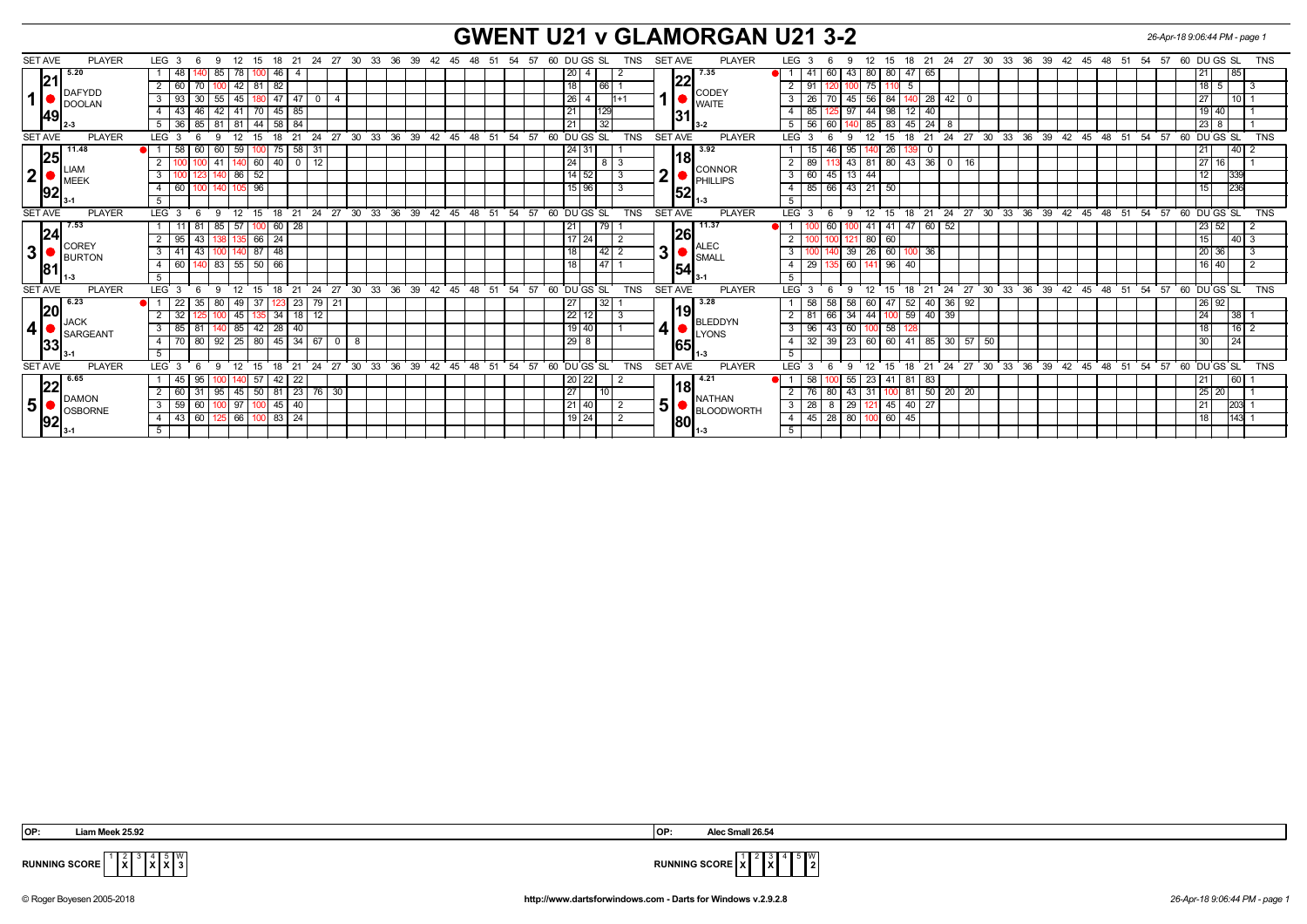## **GWENT U21 v GLAMORGAN U21 3-2** *26-Apr-18 9:06:44 PM - page 1*

| <b>SET AVE</b><br><b>PLAYER</b>                                        | LEG <sub>3</sub><br>- 18<br>-21<br>24<br>12<br>15<br>-6          | 30 33 36 39<br>- 27                             | 42  45  48  51<br>- 54<br>57<br>60 DU GS SL<br><b>TNS</b>        | <b>SET AVE</b><br><b>PLAYER</b>                            | 21 24 27 30 33 36 39 42 45 48 51 54 57<br>60 DU GS SL<br><b>TNS</b><br>LEG <sub>3</sub><br>12<br>15<br>18<br>-9                                         |
|------------------------------------------------------------------------|------------------------------------------------------------------|-------------------------------------------------|------------------------------------------------------------------|------------------------------------------------------------|---------------------------------------------------------------------------------------------------------------------------------------------------------|
| 5.20<br> 21<br>DAFYDD<br>DOOLAN<br>49                                  | 85<br>78<br>48<br>$100$ 46<br>4                                  |                                                 | 20<br>$\overline{4}$                                             | 17.35                                                      | $80$ 80<br>85<br>60<br>43  <br>47<br>21<br>65<br>$\mathbf{4}^{\prime}$                                                                                  |
|                                                                        | 42<br>60<br>$81 \ 82$                                            |                                                 | 18<br>66                                                         | 22                                                         | 75<br>18 I<br>-91                                                                                                                                       |
|                                                                        | 93<br>180 47 47<br>3 <sup>1</sup><br>30 <sup>1</sup><br>55<br>45 |                                                 | 26 <sub>l</sub><br>$1 + 1$<br>-4                                 | CODEY                                                      | 3<br>45<br>56<br>84<br>28 42<br>  27<br>10 I<br>$^{\circ}$<br>26                                                                                        |
|                                                                        | 85<br>43<br>42<br>41<br>70   45  <br>46                          |                                                 | 129<br>21                                                        | <b>I</b> WAITE                                             | 97<br>44<br>98<br>12 <sup>1</sup><br>  19   40<br>$\overline{a}$<br>85<br>-40                                                                           |
|                                                                        | 84<br>36 85 81 81<br>$44$ 58                                     |                                                 | $\overline{32}$<br>21                                            | 131                                                        | 5<br>60<br>$85 \mid 83$<br>$-45$<br>56<br>$24 \overline{\phantom{0}}8$<br>$123$ 8                                                                       |
| <b>SET AVE</b><br><b>PLAYER</b>                                        | 12<br>LEG 3<br>21<br>24<br>-6<br>15<br>18<br>$\mathbf{q}$        | $^{\circ}$ 27<br>30<br>33 <sup>°</sup><br>36 39 | $42 \t 45 \t 48$<br>60 DUGS SL<br>51<br>54<br>57<br><b>TNS</b>   | <b>SET AVE</b><br><b>PLAYER</b>                            | LEG <sup>1</sup><br>33<br>36<br>54<br>57<br><b>TNS</b><br>12<br>21<br>24<br>27<br>30<br>39<br>$42 \quad 45$<br>48<br>51<br>60 DU GS SL<br>15<br>18<br>9 |
| 11.48                                                                  | 58<br>59<br>75<br>-31<br>58<br>60<br>60                          |                                                 | 131<br>24                                                        | 13.92                                                      | 21<br>$\sqrt{40}$ 2<br>26<br>95                                                                                                                         |
| 25<br>$\bullet$ $\overline{\phantom{a}}$ LIAM<br>2 <sub>1</sub><br> 92 | 41<br>60 40<br>$\overline{0}$<br>12<br>140                       |                                                 | $\overline{24}$<br>8<br>l 3                                      | l18l<br>CONNOR<br>2 <sub>1</sub><br>PHILLIPS<br> 52        | 127116<br>$\overline{2}$<br>89<br>43 81 80<br> 43 <br>36<br>16<br>$\mathbf{0}$                                                                          |
|                                                                        | $ 40 $ 86<br>52                                                  |                                                 | $14 \overline{)52}$<br>-3                                        |                                                            | $13 \mid 44$<br>$\overline{3}$<br>45<br>339<br>12 <sub>1</sub><br>60                                                                                    |
|                                                                        | $4 \overline{60}$<br>96<br>105<br>140 I                          |                                                 | 15 96                                                            |                                                            | <b>236</b><br>85<br>66 43 21 50<br>15<br>$\overline{4}$                                                                                                 |
|                                                                        |                                                                  |                                                 |                                                                  |                                                            | $5\overline{)}$                                                                                                                                         |
| <b>SET AVE</b><br><b>PLAYER</b>                                        | LEG <sub>3</sub><br>12<br>15<br>21<br>24<br>- 6<br>- 18<br>- Q   | 27<br>30<br>$33^\circ$<br>36<br>39              | 60 DU GS SL<br>$42 \t 45 \t 48$<br>51<br>54<br>57<br><b>TNS</b>  | <b>SET AVE</b><br><b>PLAYER</b>                            | <b>LEG</b><br>27 30<br>33 36<br>$39 \t 42 \t 45 \t 48$<br>54<br>57<br>60 DU GS SL<br><b>TNS</b><br>12<br>15<br>21<br>24<br>51<br>9<br>18                |
| 17.53                                                                  | 85<br>57<br>28<br>00 60                                          |                                                 | l 79                                                             | $\sqrt{11.37}$<br><b>26</b><br>ALEC<br>31<br>SMALI<br>54   | 23   52<br>-41<br>41<br>47<br>60 52                                                                                                                     |
| 24                                                                     | 95<br>43<br>$66$   24<br>135<br>I38 I                            |                                                 | $17$   24                                                        |                                                            | 14013<br>80   60<br>15                                                                                                                                  |
| $\blacksquare$ CORE)<br>3 <sup>1</sup><br>BURTON<br><b>81</b>          | $3 \mid 41$<br>$87$ 48<br>43<br>140                              |                                                 | 42 <br>18<br>$\overline{2}$                                      |                                                            | $\overline{3}$<br>$26   60$<br>39<br>120136<br>-36<br>l 3<br>100                                                                                        |
|                                                                        | 55 <br>$4 \mid 60$<br>83 I<br>50   66                            |                                                 | I 47<br>18                                                       |                                                            | 60<br>96<br>$\overline{4}$<br>29<br>40<br>  16   40<br>- 2<br>1411                                                                                      |
|                                                                        | 5                                                                |                                                 |                                                                  |                                                            | 5                                                                                                                                                       |
| <b>SET AVE</b><br><b>PLAYER</b>                                        | <b>LEG</b><br>21<br>24<br>12<br>15<br>18                         | 39<br>27<br>30<br>33<br>36                      | 42<br>45<br>$-48$<br>51<br>54<br>57<br>60 DU GS SL<br><b>TNS</b> | <b>SET AVE</b><br><b>PLAYER</b>                            | 36<br>39 42 45<br><b>TNS</b><br>27<br>$30^{\circ}$<br>ີ 33<br>48<br>51<br>54<br>57<br>60 DU GS SL<br>LEG<br>12<br>21<br>-24<br>18<br>-9                 |
| 6.23<br> 20<br><b>JACK</b><br>4 <sup>1</sup><br>SARGEANT<br> 33        | 23<br>22<br>49<br>-35<br>80<br>.37                               | $79$ 21                                         | 32<br>27                                                         | 3.28<br>l19l<br>BLEDDYN<br>4ŀ<br><b>LYONS</b><br><b>65</b> | 92<br> 26 92 <br>58<br>58<br>52<br>$40\sqrt{36}$<br>58<br>60   47                                                                                       |
|                                                                        | $\overline{32}$<br>45<br>$135$ 34<br>18                          |                                                 | $\overline{22}$<br>12                                            |                                                            | 66<br>$100$ 59<br> 38 <br>$\overline{2}$<br>34<br>44<br>$40 \mid 39$<br>-81<br>24                                                                       |
|                                                                        | 85<br>$3 \mid 85$<br>$42 \mid 28$<br>40<br>  81                  |                                                 | 19140                                                            |                                                            | 58<br>18<br>$16$   2<br>3<br>96<br>43 <sup>1</sup><br>60<br>  100                                                                                       |
|                                                                        | 25<br>70<br>92<br>80 45<br>34<br>80<br>67<br>$\overline{4}$      | $\Omega$<br>8                                   | $29$ 8                                                           |                                                            | 23<br>32<br>39<br>60<br>60<br>41<br>85 30<br>57<br>30<br>24<br>50<br>4                                                                                  |
|                                                                        | 5                                                                |                                                 |                                                                  |                                                            | 5                                                                                                                                                       |
| <b>SET AVE</b><br><b>PLAYER</b>                                        | 21<br>24<br>LEG <sub>3</sub><br>- 6<br>12<br>15<br>18            | 33 36 39<br>27<br>30                            | 42 45 48 51<br>54<br>57<br>60 DU GS SL<br><b>TNS</b>             | <b>SET AVE</b><br><b>PLAYER</b>                            | 36<br>39 42 45 48 51<br>27 30<br>$33^\circ$<br>54 57<br>60 DU GS SL<br><b>LEG</b><br>12<br>15<br>21<br>24<br><b>TNS</b><br>-9<br>18                     |
| 6.65<br> 22<br>DAMON<br>5 <sup>1</sup><br><b>SECRATE</b>               | 22<br>45<br>95<br>-57<br>42                                      |                                                 | 22<br>20                                                         | 4.21                                                       | 60  <br>23<br>83<br>  21<br>-58<br>55<br>-81<br>141.                                                                                                    |
|                                                                        | 23<br>$50$ 81<br>45<br>2 <sub>1</sub><br>60<br>-31<br>95         | 76 30                                           | 27<br>110                                                        | 18<br><b>NATHAN</b>                                        | $100$ 81<br>$50 \mid 20$<br>43<br>31<br>20<br> 25 20<br>80                                                                                              |
|                                                                        | 97<br>59<br>60<br>40<br>3 I<br>$-11$ 45 $+$                      |                                                 | $21$ 40                                                          | 5 <sup>1</sup><br>BLOODWORTH                               | 29<br>40<br>3<br>28<br>45<br>27<br>203<br>  21<br>8<br>  121                                                                                            |
|                                                                        | 66<br>$4 \mid 43$<br>60<br>$100$ 83<br>24                        |                                                 | $19$ 24<br>$\overline{2}$                                        | 80                                                         | 28<br>80<br>45<br>60<br>45<br>l 18<br>$143 \quad 1$<br>$\overline{4}$<br>100 I                                                                          |
| $ 92 _{3-1}$                                                           | 5 <sup>1</sup>                                                   |                                                 |                                                                  |                                                            | 5                                                                                                                                                       |

**X** 4 **X X** W



**RUNNING SCORE**